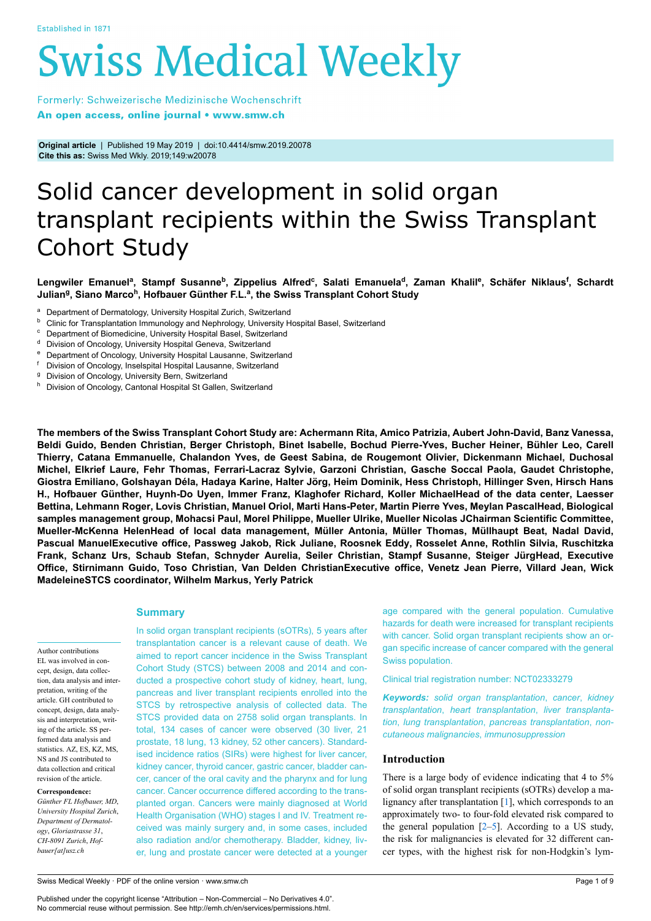# **Swiss Medical Weekly**

Formerly: Schweizerische Medizinische Wochenschrift An open access, online journal • www.smw.ch

**Original article** | Published 19 May 2019 | doi:10.4414/smw.2019.20078 **Cite this as:** Swiss Med Wkly. 2019;149:w20078

# Solid cancer development in solid organ transplant recipients within the Swiss Transplant Cohort Study

Lengwiler Emanuel<sup>a</sup>, Stampf Susanne<sup>b</sup>, Zippelius Alfred<sup>c</sup>, Salati Emanuela<sup>d</sup>, Zaman Khalil<sup>e</sup>, Schäfer Niklaus<sup>f</sup>, Schardt **Julian<sup>g</sup> , Siano Marco<sup>h</sup> , Hofbauer Günther F.L.<sup>a</sup> , the Swiss Transplant Cohort Study**

- <sup>a</sup> Department of Dermatology, University Hospital Zurich, Switzerland<br>b. Olivia for Transplantation Immunology and Naphrategy University U
- **b** Clinic for Transplantation Immunology and Nephrology, University Hospital Basel, Switzerland
- Department of Biomedicine, University Hospital Basel, Switzerland
- <sup>d</sup> Division of Oncology, University Hospital Geneva, Switzerland
- <sup>e</sup> Department of Oncology, University Hospital Lausanne, Switzerland
- <sup>f</sup> Division of Oncology, Inselspital Hospital Lausanne, Switzerland
- <sup>g</sup> Division of Oncology, University Bern, Switzerland
- Division of Oncology, Cantonal Hospital St Gallen, Switzerland

**The members of the Swiss Transplant Cohort Study are: Achermann Rita, Amico Patrizia, Aubert John-David, Banz Vanessa, Beldi Guido, Benden Christian, Berger Christoph, Binet Isabelle, Bochud Pierre-Yves, Bucher Heiner, Bühler Leo, Carell Thierry, Catana Emmanuelle, Chalandon Yves, de Geest Sabina, de Rougemont Olivier, Dickenmann Michael, Duchosal Michel, Elkrief Laure, Fehr Thomas, Ferrari-Lacraz Sylvie, Garzoni Christian, Gasche Soccal Paola, Gaudet Christophe,** Giostra Emiliano, Golshayan Déla, Hadaya Karine, Halter Jörg, Heim Dominik, Hess Christoph, Hillinger Sven, Hirsch Hans **H., Hofbauer Günther, Huynh-Do Uyen, Immer Franz, Klaghofer Richard, Koller MichaelHead of the data center, Laesser Bettina, Lehmann Roger, Lovis Christian, Manuel Oriol, Marti Hans-Peter, Martin Pierre Yves, Meylan PascalHead, Biological samples management group, Mohacsi Paul, Morel Philippe, Mueller Ulrike, Mueller Nicolas JChairman Scientific Committee, Mueller-McKenna HelenHead of local data management, Müller Antonia, Müller Thomas, Müllhaupt Beat, Nadal David, Pascual ManuelExecutive office, Passweg Jakob, Rick Juliane, Roosnek Eddy, Rosselet Anne, Rothlin Silvia, Ruschitzka Frank, Schanz Urs, Schaub Stefan, Schnyder Aurelia, Seiler Christian, Stampf Susanne, Steiger JürgHead, Executive Office, Stirnimann Guido, Toso Christian, Van Delden ChristianExecutive office, Venetz Jean Pierre, Villard Jean, Wick MadeleineSTCS coordinator, Wilhelm Markus, Yerly Patrick**

# **Summary**

Author contributions EL was involved in concept, design, data collection, data analysis and interpretation, writing of the article. GH contributed to concept, design, data analysis and interpretation, writing of the article. SS performed data analysis and statistics. AZ, ES, KZ, MS, NS and JS contributed to data collection and critical revision of the article.

**Correspondence:**

*Günther FL Hofbauer, MD*, *University Hospital Zurich*, *Department of Dermatology*, *Gloriastrasse 31*, *CH-8091 Zurich*, *Hofbauer[at]usz.ch*

In solid organ transplant recipients (sOTRs), 5 years after transplantation cancer is a relevant cause of death. We aimed to report cancer incidence in the Swiss Transplant Cohort Study (STCS) between 2008 and 2014 and conducted a prospective cohort study of kidney, heart, lung, pancreas and liver transplant recipients enrolled into the STCS by retrospective analysis of collected data. The STCS provided data on 2758 solid organ transplants. In total, 134 cases of cancer were observed (30 liver, 21 prostate, 18 lung, 13 kidney, 52 other cancers). Standardised incidence ratios (SIRs) were highest for liver cancer, kidney cancer, thyroid cancer, gastric cancer, bladder cancer, cancer of the oral cavity and the pharynx and for lung cancer. Cancer occurrence differed according to the transplanted organ. Cancers were mainly diagnosed at World Health Organisation (WHO) stages I and IV. Treatment received was mainly surgery and, in some cases, included also radiation and/or chemotherapy. Bladder, kidney, liver, lung and prostate cancer were detected at a younger age compared with the general population. Cumulative hazards for death were increased for transplant recipients with cancer. Solid organ transplant recipients show an organ specific increase of cancer compared with the general Swiss population.

Clinical trial registration number: NCT02333279

*Keywords: solid organ transplantation*, *cancer*, *kidney transplantation*, *heart transplantation*, *liver transplantation*, *lung transplantation*, *pancreas transplantation*, *noncutaneous malignancies*, *immunosuppression*

# **Introduction**

There is a large body of evidence indicating that 4 to 5% of solid organ transplant recipients (sOTRs) develop a malignancy after transplantation [\[1\]](#page-8-0), which corresponds to an approximately two- to four-fold elevated risk compared to the general population  $[2-5]$  $[2-5]$  $[2-5]$  $[2-5]$  $[2-5]$ . According to a US study, the risk for malignancies is elevated for 32 different cancer types, with the highest risk for non-Hodgkin's lym-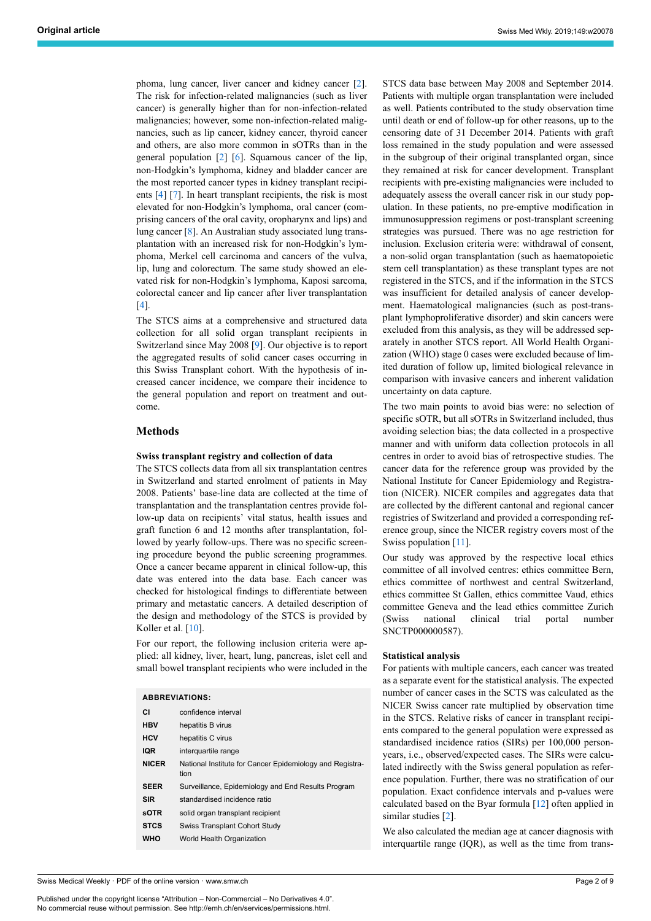phoma, lung cancer, liver cancer and kidney cancer [\[2\]](#page-8-1). The risk for infection-related malignancies (such as liver cancer) is generally higher than for non-infection-related malignancies; however, some non-infection-related malignancies, such as lip cancer, kidney cancer, thyroid cancer and others, are also more common in sOTRs than in the general population [[2](#page-8-1)] [\[6\]](#page-8-3). Squamous cancer of the lip, non-Hodgkin's lymphoma, kidney and bladder cancer are the most reported cancer types in kidney transplant recipients [[4](#page-8-4)] [\[7\]](#page-8-5). In heart transplant recipients, the risk is most elevated for non-Hodgkin's lymphoma, oral cancer (comprising cancers of the oral cavity, oropharynx and lips) and lung cancer [[8](#page-8-6)]. An Australian study associated lung transplantation with an increased risk for non-Hodgkin's lymphoma, Merkel cell carcinoma and cancers of the vulva, lip, lung and colorectum. The same study showed an elevated risk for non-Hodgkin's lymphoma, Kaposi sarcoma, colorectal cancer and lip cancer after liver transplantation [[4](#page-8-4)].

The STCS aims at a comprehensive and structured data collection for all solid organ transplant recipients in Switzerland since May 2008 [\[9\]](#page-8-7). Our objective is to report the aggregated results of solid cancer cases occurring in this Swiss Transplant cohort. With the hypothesis of increased cancer incidence, we compare their incidence to the general population and report on treatment and outcome.

# **Methods**

#### **Swiss transplant registry and collection of data**

The STCS collects data from all six transplantation centres in Switzerland and started enrolment of patients in May 2008. Patients' base-line data are collected at the time of transplantation and the transplantation centres provide follow-up data on recipients' vital status, health issues and graft function 6 and 12 months after transplantation, followed by yearly follow-ups. There was no specific screening procedure beyond the public screening programmes. Once a cancer became apparent in clinical follow-up, this date was entered into the data base. Each cancer was checked for histological findings to differentiate between primary and metastatic cancers. A detailed description of the design and methodology of the STCS is provided by Koller et al. [[10\]](#page-8-8).

For our report, the following inclusion criteria were applied: all kidney, liver, heart, lung, pancreas, islet cell and small bowel transplant recipients who were included in the

| <b>ABBREVIATIONS:</b> |                                                                  |  |  |  |  |  |  |  |
|-----------------------|------------------------------------------------------------------|--|--|--|--|--|--|--|
| СI                    | confidence interval                                              |  |  |  |  |  |  |  |
| <b>HBV</b>            | hepatitis B virus                                                |  |  |  |  |  |  |  |
| <b>HCV</b>            | hepatitis C virus                                                |  |  |  |  |  |  |  |
| <b>IQR</b>            | interguartile range                                              |  |  |  |  |  |  |  |
| <b>NICER</b>          | National Institute for Cancer Epidemiology and Registra-<br>tion |  |  |  |  |  |  |  |
| <b>SEER</b>           | Surveillance, Epidemiology and End Results Program               |  |  |  |  |  |  |  |
| <b>SIR</b>            | standardised incidence ratio                                     |  |  |  |  |  |  |  |
| <b>sOTR</b>           | solid organ transplant recipient                                 |  |  |  |  |  |  |  |
| <b>STCS</b>           | <b>Swiss Transplant Cohort Study</b>                             |  |  |  |  |  |  |  |
| <b>WHO</b>            | World Health Organization                                        |  |  |  |  |  |  |  |

Swiss Medical Weekly · PDF of the online version · www.smw.ch

Published under the copyright license "Attribution – Non-Commercial – No Derivatives 4.0". No commercial reuse without permission. See http://emh.ch/en/services/permissions.html.

STCS data base between May 2008 and September 2014. Patients with multiple organ transplantation were included as well. Patients contributed to the study observation time until death or end of follow-up for other reasons, up to the censoring date of 31 December 2014. Patients with graft loss remained in the study population and were assessed in the subgroup of their original transplanted organ, since they remained at risk for cancer development. Transplant recipients with pre-existing malignancies were included to adequately assess the overall cancer risk in our study population. In these patients, no pre-emptive modification in immunosuppression regimens or post-transplant screening strategies was pursued. There was no age restriction for inclusion. Exclusion criteria were: withdrawal of consent, a non-solid organ transplantation (such as haematopoietic stem cell transplantation) as these transplant types are not registered in the STCS, and if the information in the STCS was insufficient for detailed analysis of cancer development. Haematological malignancies (such as post-transplant lymphoproliferative disorder) and skin cancers were excluded from this analysis, as they will be addressed separately in another STCS report. All World Health Organization (WHO) stage 0 cases were excluded because of limited duration of follow up, limited biological relevance in comparison with invasive cancers and inherent validation uncertainty on data capture.

The two main points to avoid bias were: no selection of specific sOTR, but all sOTRs in Switzerland included, thus avoiding selection bias; the data collected in a prospective manner and with uniform data collection protocols in all centres in order to avoid bias of retrospective studies. The cancer data for the reference group was provided by the National Institute for Cancer Epidemiology and Registration (NICER). NICER compiles and aggregates data that are collected by the different cantonal and regional cancer registries of Switzerland and provided a corresponding reference group, since the NICER registry covers most of the Swiss population [\[11\]](#page-8-9).

Our study was approved by the respective local ethics committee of all involved centres: ethics committee Bern, ethics committee of northwest and central Switzerland, ethics committee St Gallen, ethics committee Vaud, ethics committee Geneva and the lead ethics committee Zurich (Swiss national clinical trial portal number SNCTP000000587).

# **Statistical analysis**

For patients with multiple cancers, each cancer was treated as a separate event for the statistical analysis. The expected number of cancer cases in the SCTS was calculated as the NICER Swiss cancer rate multiplied by observation time in the STCS. Relative risks of cancer in transplant recipients compared to the general population were expressed as standardised incidence ratios (SIRs) per 100,000 personyears, i.e., observed/expected cases. The SIRs were calculated indirectly with the Swiss general population as reference population. Further, there was no stratification of our population. Exact confidence intervals and p-values were calculated based on the Byar formula [\[12](#page-8-10)] often applied in similar studies [[2](#page-8-1)].

We also calculated the median age at cancer diagnosis with interquartile range (IQR), as well as the time from trans-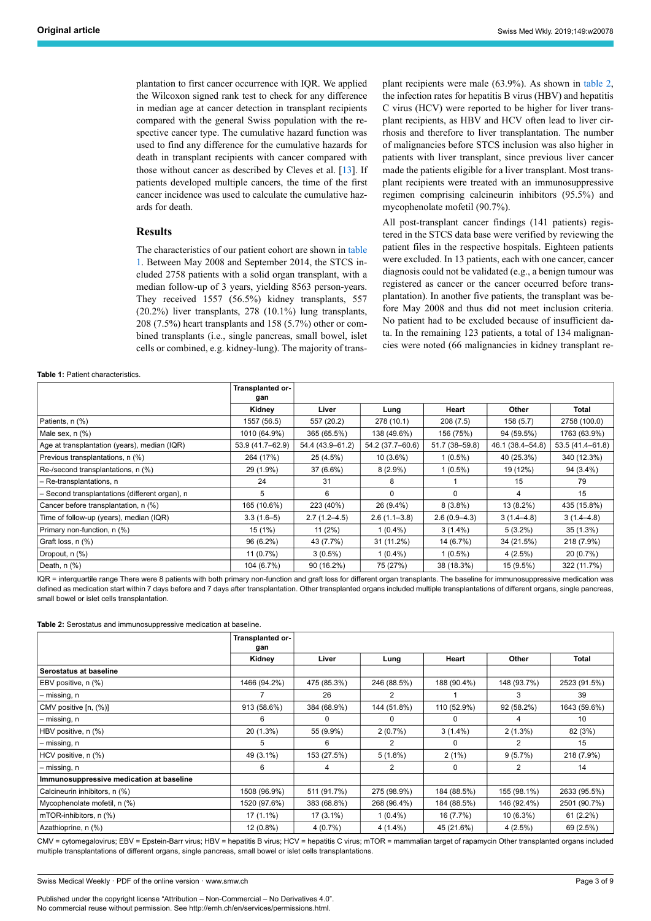plantation to first cancer occurrence with IQR. We applied the Wilcoxon signed rank test to check for any difference in median age at cancer detection in transplant recipients compared with the general Swiss population with the respective cancer type. The cumulative hazard function was used to find any difference for the cumulative hazards for death in transplant recipients with cancer compared with those without cancer as described by Cleves et al. [[13\]](#page-8-11). If patients developed multiple cancers, the time of the first cancer incidence was used to calculate the cumulative hazards for death.

# **Results**

The characteristics of our patient cohort are shown in [table](#page-2-0) [1](#page-2-0). Between May 2008 and September 2014, the STCS included 2758 patients with a solid organ transplant, with a median follow-up of 3 years, yielding 8563 person-years. They received 1557 (56.5%) kidney transplants, 557 (20.2%) liver transplants, 278 (10.1%) lung transplants, 208 (7.5%) heart transplants and 158 (5.7%) other or combined transplants (i.e., single pancreas, small bowel, islet cells or combined, e.g. kidney-lung). The majority of transplant recipients were male (63.9%). As shown in [table 2](#page-2-1), the infection rates for hepatitis B virus (HBV) and hepatitis C virus (HCV) were reported to be higher for liver transplant recipients, as HBV and HCV often lead to liver cirrhosis and therefore to liver transplantation. The number of malignancies before STCS inclusion was also higher in patients with liver transplant, since previous liver cancer made the patients eligible for a liver transplant. Most transplant recipients were treated with an immunosuppressive regimen comprising calcineurin inhibitors (95.5%) and mycophenolate mofetil (90.7%).

All post-transplant cancer findings (141 patients) registered in the STCS data base were verified by reviewing the patient files in the respective hospitals. Eighteen patients were excluded. In 13 patients, each with one cancer, cancer diagnosis could not be validated (e.g., a benign tumour was registered as cancer or the cancer occurred before transplantation). In another five patients, the transplant was before May 2008 and thus did not meet inclusion criteria. No patient had to be excluded because of insufficient data. In the remaining 123 patients, a total of 134 malignancies were noted (66 malignancies in kidney transplant re-

#### <span id="page-2-0"></span>**Table 1:** Patient characteristics.

|                                                | Transplanted or-<br>gan |                  |                  |                  |                  |                     |
|------------------------------------------------|-------------------------|------------------|------------------|------------------|------------------|---------------------|
|                                                | Kidney                  | Liver            | Lung             | Heart            | Other            | Total               |
| Patients, n (%)                                | 1557 (56.5)             | 557 (20.2)       | 278 (10.1)       | 208(7.5)         | 158(5.7)         | 2758 (100.0)        |
| Male sex, $n$ $%$                              | 1010 (64.9%)            | 365 (65.5%)      | 138 (49.6%)      | 156 (75%)        | 94 (59.5%)       | 1763 (63.9%)        |
| Age at transplantation (years), median (IQR)   | 53.9 (41.7-62.9)        | 54.4 (43.9-61.2) | 54.2 (37.7-60.6) | 51.7 (38-59.8)   | 46.1 (38.4-54.8) | $53.5(41.4 - 61.8)$ |
| Previous transplantations, n (%)               | 264 (17%)               | 25 (4.5%)        | $10(3.6\%)$      | $1(0.5\%)$       | 40 (25.3%)       | 340 (12.3%)         |
| Re-/second transplantations, n (%)             | 29 (1.9%)               | 37 (6.6%)        | $8(2.9\%)$       | $1(0.5\%)$       | 19 (12%)         | 94 (3.4%)           |
| - Re-transplantations, n                       | 24                      | 31               | 8                |                  | 15               | 79                  |
| - Second transplantations (different organ), n | 5                       | 6                | 0                | $\Omega$         | 4                | 15                  |
| Cancer before transplantation, n (%)           | 165 (10.6%)             | 223 (40%)        | 26 (9.4%)        | $8(3.8\%)$       | 13 (8.2%)        | 435 (15.8%)         |
| Time of follow-up (years), median (IQR)        | $3.3(1.6-5)$            | $2.7(1.2 - 4.5)$ | $2.6(1.1 - 3.8)$ | $2.6(0.9 - 4.3)$ | $3(1.4 - 4.8)$   | $3(1.4 - 4.8)$      |
| Primary non-function, n (%)                    | 15 (1%)                 | $11(2\%)$        | $1(0.4\%)$       | $3(1.4\%)$       | $5(3.2\%)$       | 35(1.3%)            |
| Graft loss, n (%)                              | 96 (6.2%)               | 43 (7.7%)        | 31 (11.2%)       | 14 (6.7%)        | 34 (21.5%)       | 218 (7.9%)          |
| Dropout, n (%)                                 | 11(0.7%)                | $3(0.5\%)$       | $1(0.4\%)$       | $1(0.5\%)$       | 4(2.5%)          | 20 (0.7%)           |
| Death, $n$ $(\%)$                              | 104 (6.7%)              | 90 (16.2%)       | 75 (27%)         | 38 (18.3%)       | 15 (9.5%)        | 322 (11.7%)         |

IQR = interquartile range There were 8 patients with both primary non-function and graft loss for different organ transplants. The baseline for immunosuppressive medication was defined as medication start within 7 days before and 7 days after transplantation. Other transplanted organs included multiple transplantations of different organs, single pancreas, small bowel or islet cells transplantation.

<span id="page-2-1"></span>**Table 2:** Serostatus and immunosuppressive medication at baseline.

|                                          | Transplanted or-<br>gan |             |             |             |             |              |
|------------------------------------------|-------------------------|-------------|-------------|-------------|-------------|--------------|
|                                          | Kidney                  | Liver       | Lung        | Heart       | Other       | Total        |
| Serostatus at baseline                   |                         |             |             |             |             |              |
| EBV positive, n (%)                      | 1466 (94.2%)            | 475 (85.3%) | 246 (88.5%) | 188 (90.4%) | 148 (93.7%) | 2523 (91.5%) |
| – missing, n                             |                         | 26          | 2           |             | 3           | 39           |
| CMV positive [n, (%)]                    | 913 (58.6%)             | 384 (68.9%) | 144 (51.8%) | 110 (52.9%) | 92 (58.2%)  | 1643 (59.6%) |
| – missing, n                             | 6                       | $\Omega$    | 0           | $\Omega$    | 4           | 10           |
| HBV positive, n (%)                      | 20 (1.3%)               | 55 (9.9%)   | 2(0.7%)     | $3(1.4\%)$  | $2(1.3\%)$  | 82 (3%)      |
| – missing, n                             | 5                       | 6           | 2           | 0           | 2           | 15           |
| HCV positive, n (%)                      | 49 (3.1%)               | 153 (27.5%) | $5(1.8\%)$  | 2(1%)       | 9(5.7%)     | 218 (7.9%)   |
| – missing, n                             | 6                       | 4           | 2           | 0           | 2           | 14           |
| Immunosuppressive medication at baseline |                         |             |             |             |             |              |
| Calcineurin inhibitors, n (%)            | 1508 (96.9%)            | 511 (91.7%) | 275 (98.9%) | 184 (88.5%) | 155 (98.1%) | 2633 (95.5%) |
| Mycophenolate mofetil, n (%)             | 1520 (97.6%)            | 383 (68.8%) | 268 (96.4%) | 184 (88.5%) | 146 (92.4%) | 2501 (90.7%) |
| mTOR-inhibitors, n (%)                   | $17(1.1\%)$             | $17(3.1\%)$ | $1(0.4\%)$  | 16 (7.7%)   | $10(6.3\%)$ | $61(2.2\%)$  |
| Azathioprine, n (%)                      | 12 (0.8%)               | 4 (0.7%)    | $4(1.4\%)$  | 45 (21.6%)  | 4(2.5%)     | 69 (2.5%)    |

CMV = cytomegalovirus; EBV = Epstein-Barr virus; HBV = hepatitis B virus; HCV = hepatitis C virus; mTOR = mammalian target of rapamycin Other transplanted organs included multiple transplantations of different organs, single pancreas, small bowel or islet cells transplantations.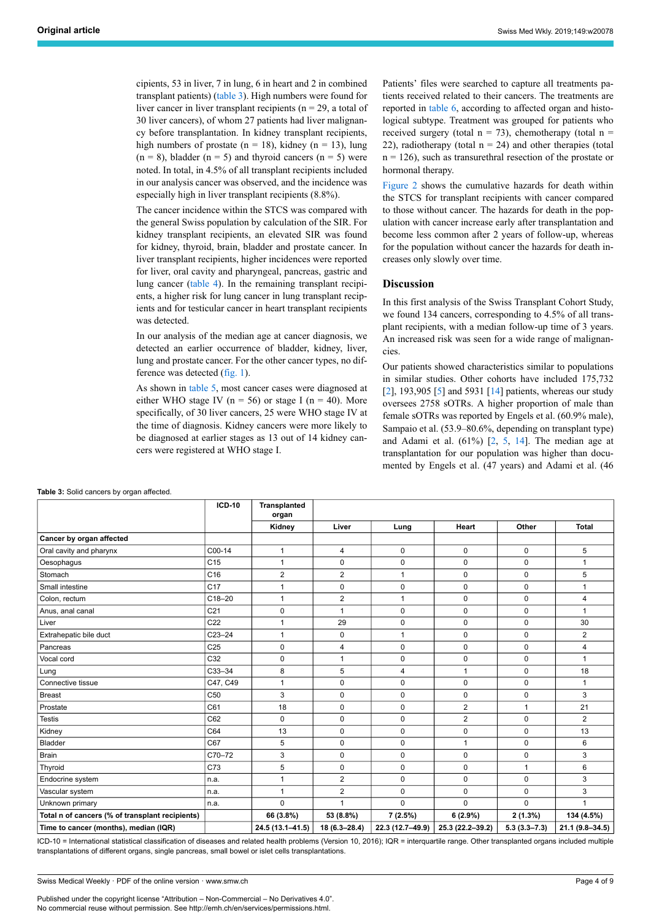cipients, 53 in liver, 7 in lung, 6 in heart and 2 in combined transplant patients) [\(table 3](#page-3-0)). High numbers were found for liver cancer in liver transplant recipients ( $n = 29$ , a total of 30 liver cancers), of whom 27 patients had liver malignancy before transplantation. In kidney transplant recipients, high numbers of prostate ( $n = 18$ ), kidney ( $n = 13$ ), lung  $(n = 8)$ , bladder  $(n = 5)$  and thyroid cancers  $(n = 5)$  were noted. In total, in 4.5% of all transplant recipients included in our analysis cancer was observed, and the incidence was especially high in liver transplant recipients (8.8%).

The cancer incidence within the STCS was compared with the general Swiss population by calculation of the SIR. For kidney transplant recipients, an elevated SIR was found for kidney, thyroid, brain, bladder and prostate cancer. In liver transplant recipients, higher incidences were reported for liver, oral cavity and pharyngeal, pancreas, gastric and lung cancer [\(table 4\)](#page-4-0). In the remaining transplant recipients, a higher risk for lung cancer in lung transplant recipients and for testicular cancer in heart transplant recipients was detected.

In our analysis of the median age at cancer diagnosis, we detected an earlier occurrence of bladder, kidney, liver, lung and prostate cancer. For the other cancer types, no difference was detected ([fig. 1\)](#page-4-1).

As shown in [table 5,](#page-5-0) most cancer cases were diagnosed at either WHO stage IV ( $n = 56$ ) or stage I ( $n = 40$ ). More specifically, of 30 liver cancers, 25 were WHO stage IV at the time of diagnosis. Kidney cancers were more likely to be diagnosed at earlier stages as 13 out of 14 kidney cancers were registered at WHO stage I.

Patients' files were searched to capture all treatments patients received related to their cancers. The treatments are reported in [table 6](#page-6-0), according to affected organ and histological subtype. Treatment was grouped for patients who received surgery (total  $n = 73$ ), chemotherapy (total  $n =$ 22), radiotherapy (total  $n = 24$ ) and other therapies (total  $n = 126$ ), such as transurethral resection of the prostate or hormonal therapy.

[Figure 2](#page-5-1) shows the cumulative hazards for death within the STCS for transplant recipients with cancer compared to those without cancer. The hazards for death in the population with cancer increase early after transplantation and become less common after 2 years of follow-up, whereas for the population without cancer the hazards for death increases only slowly over time.

# **Discussion**

In this first analysis of the Swiss Transplant Cohort Study, we found 134 cancers, corresponding to 4.5% of all transplant recipients, with a median follow-up time of 3 years. An increased risk was seen for a wide range of malignancies

Our patients showed characteristics similar to populations in similar studies. Other cohorts have included 175,732 [\[2\]](#page-8-1), 193,90[5](#page-8-2) [5] and 5931 [\[14](#page-8-12)] patients, whereas our study oversees 2758 sOTRs. A higher proportion of male than female sOTRs was reported by Engels et al. (60.9% male), Sampaio et al. (53.9–80.6%, depending on transplant type) and Adami et al.  $(61\%)$   $[2, 5, 14]$  $[2, 5, 14]$  $[2, 5, 14]$  $[2, 5, 14]$  $[2, 5, 14]$ . The median age at transplantation for our population was higher than documented by Engels et al. (47 years) and Adami et al. (46

|                                                 | <b>ICD-10</b>      | <b>Transplanted</b><br>organ |                  |                  |                  |                  |                    |
|-------------------------------------------------|--------------------|------------------------------|------------------|------------------|------------------|------------------|--------------------|
|                                                 |                    | Kidney                       | Liver            | Lung             | Heart            | Other            | <b>Total</b>       |
| Cancer by organ affected                        |                    |                              |                  |                  |                  |                  |                    |
| Oral cavity and pharynx                         | C00-14             | $\mathbf{1}$                 | 4                | 0                | 0                | $\mathbf 0$      | 5                  |
| Oesophagus                                      | C <sub>15</sub>    | $\mathbf{1}$                 | $\mathbf 0$      | $\mathbf 0$      | $\mathbf 0$      | $\mathbf 0$      | $\mathbf{1}$       |
| Stomach                                         | C <sub>16</sub>    | $\overline{2}$               | $\overline{2}$   | $\mathbf{1}$     | $\mathbf 0$      | $\mathbf 0$      | 5                  |
| Small intestine                                 | C <sub>17</sub>    | 1                            | 0                | $\pmb{0}$        | 0                | $\mathbf 0$      | 1                  |
| Colon, rectum                                   | $C18 - 20$         | $\mathbf{1}$                 | $\overline{2}$   | $\mathbf{1}$     | $\mathbf 0$      | $\mathbf 0$      | 4                  |
| Anus, anal canal                                | C <sub>21</sub>    | 0                            | $\mathbf{1}$     | $\pmb{0}$        | $\mathbf 0$      | $\mathbf 0$      | 1                  |
| Liver                                           | C <sub>22</sub>    | 1                            | 29               | $\mathbf 0$      | $\mathbf 0$      | $\mathbf 0$      | 30                 |
| Extrahepatic bile duct                          | C <sub>23–24</sub> | 1                            | $\mathbf 0$      | $\mathbf{1}$     | $\mathbf 0$      | $\mathbf 0$      | $\overline{2}$     |
| Pancreas                                        | C <sub>25</sub>    | 0                            | 4                | $\pmb{0}$        | $\mathbf 0$      | $\mathbf 0$      | 4                  |
| Vocal cord                                      | C32                | 0                            | $\mathbf{1}$     | $\mathbf 0$      | $\mathbf 0$      | $\mathbf 0$      | $\mathbf{1}$       |
| Lung                                            | C33-34             | 8                            | 5                | 4                | 1                | $\mathbf 0$      | 18                 |
| Connective tissue                               | C47, C49           | $\mathbf{1}$                 | 0                | $\pmb{0}$        | 0                | $\mathbf 0$      | $\mathbf{1}$       |
| Breast                                          | C <sub>50</sub>    | 3                            | $\mathbf 0$      | $\mathbf 0$      | $\mathbf 0$      | $\mathbf 0$      | 3                  |
| Prostate                                        | C61                | 18                           | $\mathbf 0$      | $\mathbf 0$      | $\overline{2}$   | $\mathbf{1}$     | 21                 |
| <b>Testis</b>                                   | C62                | $\mathbf 0$                  | $\mathbf 0$      | $\pmb{0}$        | $\overline{2}$   | $\mathbf 0$      | $\overline{2}$     |
| Kidney                                          | C64                | 13                           | $\mathbf 0$      | $\mathbf 0$      | $\mathbf 0$      | $\mathbf 0$      | 13                 |
| Bladder                                         | C67                | 5                            | $\mathbf 0$      | $\mathbf 0$      | 1                | $\mathbf 0$      | 6                  |
| Brain                                           | C70-72             | 3                            | 0                | $\pmb{0}$        | 0                | $\mathbf 0$      | 3                  |
| <b>Thyroid</b>                                  | C73                | 5                            | $\mathbf 0$      | $\mathbf 0$      | $\mathbf 0$      | $\overline{1}$   | 6                  |
| Endocrine system                                | n.a.               | $\mathbf{1}$                 | $\overline{2}$   | $\mathbf 0$      | $\mathbf 0$      | $\mathbf 0$      | 3                  |
| Vascular system                                 | n.a.               | 1                            | $\overline{2}$   | $\pmb{0}$        | $\mathbf 0$      | $\mathbf 0$      | 3                  |
| Unknown primary                                 | n.a.               | $\Omega$                     | 1                | $\mathbf 0$      | $\Omega$         | $\mathbf 0$      | 1                  |
| Total n of cancers (% of transplant recipients) |                    | 66 (3.8%)                    | 53 (8.8%)        | 7(2.5%)          | 6(2.9%)          | $2(1.3\%)$       | 134 (4.5%)         |
| Time to cancer (months), median (IQR)           |                    | 24.5 (13.1-41.5)             | $18(6.3 - 28.4)$ | 22.3 (12.7-49.9) | 25.3 (22.2-39.2) | $5.3(3.3 - 7.3)$ | $21.1(9.8 - 34.5)$ |

#### ICD-10 = International statistical classification of diseases and related health problems (Version 10, 2016); IQR = interquartile range. Other transplanted organs included multiple transplantations of different organs, single pancreas, small bowel or islet cells transplantations.

<span id="page-3-0"></span>**Table 3:** Solid cancers by organ affected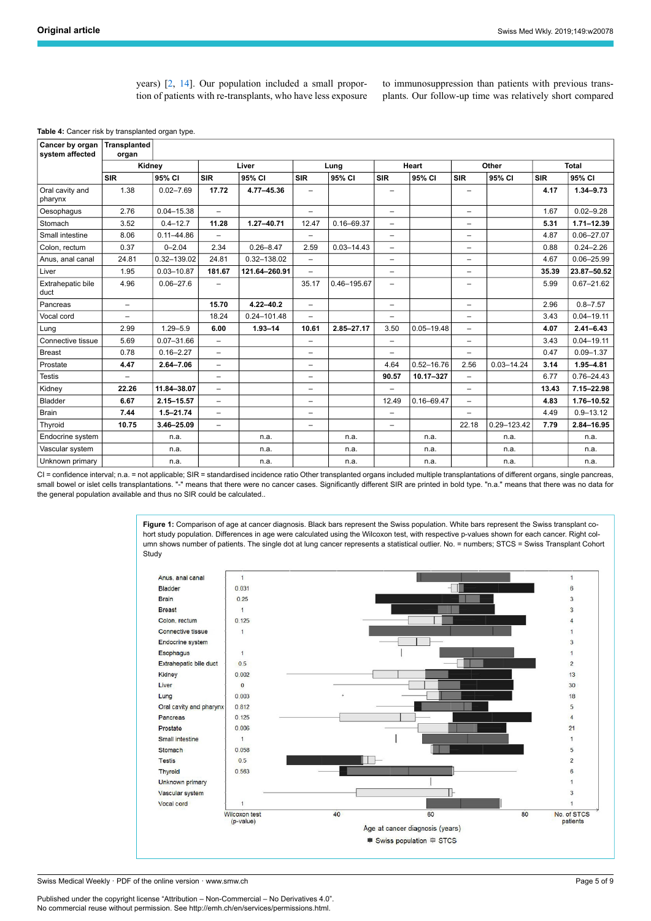years) [[2](#page-8-1), [14](#page-8-12)]. Our population included a small proportion of patients with re-transplants, who have less exposure to immunosuppression than patients with previous transplants. Our follow-up time was relatively short compared

<span id="page-4-0"></span>

| Cancer by organ<br>system affected | <b>Transplanted</b><br>organ |                |                          |                 |                          |                |                          |                |                          |                |            |                |
|------------------------------------|------------------------------|----------------|--------------------------|-----------------|--------------------------|----------------|--------------------------|----------------|--------------------------|----------------|------------|----------------|
|                                    | Kidney                       |                | Liver                    |                 | Lung                     |                | Heart                    |                | Other                    |                | Total      |                |
|                                    | <b>SIR</b>                   | 95% CI         | <b>SIR</b>               | 95% CI          | <b>SIR</b>               | 95% CI         | <b>SIR</b>               | 95% CI         | <b>SIR</b>               | 95% CI         | <b>SIR</b> | 95% CI         |
| Oral cavity and<br>pharynx         | 1.38                         | $0.02 - 7.69$  | 17.72                    | 4.77-45.36      | $\overline{\phantom{0}}$ |                | $\overline{\phantom{0}}$ |                | $\overline{\phantom{0}}$ |                | 4.17       | $1.34 - 9.73$  |
| Oesophagus                         | 2.76                         | $0.04 - 15.38$ | $\overline{a}$           |                 | $\overline{\phantom{0}}$ |                | $\overline{\phantom{0}}$ |                | $\overline{\phantom{0}}$ |                | 1.67       | $0.02 - 9.28$  |
| Stomach                            | 3.52                         | $0.4 - 12.7$   | 11.28                    | $1.27 - 40.71$  | 12.47                    | $0.16 - 69.37$ | $\overline{\phantom{0}}$ |                | $\overline{\phantom{0}}$ |                | 5.31       | $1.71 - 12.39$ |
| Small intestine                    | 8.06                         | $0.11 - 44.86$ | $\overline{\phantom{0}}$ |                 | $\overline{\phantom{0}}$ |                | $\overline{\phantom{0}}$ |                | $\qquad \qquad -$        |                | 4.87       | $0.06 - 27.07$ |
| Colon. rectum                      | 0.37                         | $0 - 2.04$     | 2.34                     | $0.26 - 8.47$   | 2.59                     | $0.03 - 14.43$ | $\overline{\phantom{0}}$ |                | $\overline{\phantom{0}}$ |                | 0.88       | $0.24 - 2.26$  |
| Anus, anal canal                   | 24.81                        | 0.32-139.02    | 24.81                    | 0.32-138.02     | $\overline{\phantom{0}}$ |                | $\overline{\phantom{m}}$ |                | $\qquad \qquad -$        |                | 4.67       | $0.06 - 25.99$ |
| Liver                              | 1.95                         | $0.03 - 10.87$ | 181.67                   | 121.64-260.91   | $\overline{\phantom{0}}$ |                | $\overline{\phantom{0}}$ |                | $\overline{\phantom{0}}$ |                | 35.39      | 23.87-50.52    |
| Extrahepatic bile<br>duct          | 4.96                         | $0.06 - 27.6$  | $\overline{a}$           |                 | 35.17                    | 0.46-195.67    | $\overline{\phantom{0}}$ |                | -                        |                | 5.99       | $0.67 - 21.62$ |
| Pancreas                           | $\overline{\phantom{0}}$     |                | 15.70                    | $4.22 - 40.2$   | $\overline{\phantom{0}}$ |                | $\overline{\phantom{0}}$ |                | $\overline{\phantom{0}}$ |                | 2.96       | $0.8 - 7.57$   |
| Vocal cord                         | $\overline{\phantom{0}}$     |                | 18.24                    | $0.24 - 101.48$ | $\overline{\phantom{0}}$ |                | $\overline{\phantom{0}}$ |                | $\qquad \qquad -$        |                | 3.43       | $0.04 - 19.11$ |
| Lung                               | 2.99                         | $1.29 - 5.9$   | 6.00                     | $1.93 - 14$     | 10.61                    | 2.85-27.17     | 3.50                     | $0.05 - 19.48$ | $\overline{\phantom{0}}$ |                | 4.07       | $2.41 - 6.43$  |
| Connective tissue                  | 5.69                         | $0.07 - 31.66$ | $\overline{\phantom{0}}$ |                 | $\overline{\phantom{0}}$ |                | $\overline{\phantom{0}}$ |                | $\overline{\phantom{0}}$ |                | 3.43       | $0.04 - 19.11$ |
| <b>Breast</b>                      | 0.78                         | $0.16 - 2.27$  | $\overline{a}$           |                 | $\overline{\phantom{0}}$ |                | $\overline{\phantom{0}}$ |                | $\overline{\phantom{0}}$ |                | 0.47       | $0.09 - 1.37$  |
| Prostate                           | 4.47                         | $2.64 - 7.06$  | $\overline{\phantom{0}}$ |                 | $\qquad \qquad -$        |                | 4.64                     | $0.52 - 16.76$ | 2.56                     | $0.03 - 14.24$ | 3.14       | $1.95 - 4.81$  |
| <b>Testis</b>                      | $\overline{\phantom{m}}$     |                | $\overline{\phantom{0}}$ |                 | $\overline{\phantom{0}}$ |                | 90.57                    | 10.17-327      | $\overline{\phantom{0}}$ |                | 6.77       | $0.76 - 24.43$ |
| Kidney                             | 22.26                        | 11.84-38.07    | $\overline{\phantom{0}}$ |                 | $\overline{\phantom{0}}$ |                | $\overline{\phantom{0}}$ |                | $\overline{\phantom{0}}$ |                | 13.43      | 7.15-22.98     |
| <b>Bladder</b>                     | 6.67                         | 2.15-15.57     | $\overline{a}$           |                 | $\overline{\phantom{0}}$ |                | 12.49                    | $0.16 - 69.47$ | $\overline{\phantom{0}}$ |                | 4.83       | 1.76-10.52     |
| <b>Brain</b>                       | 7.44                         | $1.5 - 21.74$  | $\equiv$                 |                 | $\overline{\phantom{0}}$ |                | $\overline{\phantom{0}}$ |                | Ξ.                       |                | 4.49       | $0.9 - 13.12$  |
| Thyroid                            | 10.75                        | 3.46-25.09     | $\overline{\phantom{0}}$ |                 | $\overline{\phantom{a}}$ |                | $\overline{\phantom{0}}$ |                | 22.18                    | 0.29-123.42    | 7.79       | 2.84-16.95     |
| Endocrine system                   |                              | n.a.           |                          | n.a.            |                          | n.a.           |                          | n.a.           |                          | n.a.           |            | n.a.           |
| Vascular system                    |                              | n.a.           |                          | n.a.            |                          | n.a.           |                          | n.a.           |                          | n.a.           |            | n.a.           |
| Unknown primary                    |                              | n.a.           |                          | n.a.            |                          | n.a.           |                          | n.a.           |                          | n.a.           |            | n.a.           |

<span id="page-4-1"></span>CI = confidence interval; n.a. = not applicable; SIR = standardised incidence ratio Other transplanted organs included multiple transplantations of different organs, single pancreas, small bowel or islet cells transplantations. "-" means that there were no cancer cases. Significantly different SIR are printed in bold type. "n.a." means that there was no data for the general population available and thus no SIR could be calculated..

> Figure 1: Comparison of age at cancer diagnosis. Black bars represent the Swiss population. White bars represent the Swiss transplant cohort study population. Differences in age were calculated using the Wilcoxon test, with respective p-values shown for each cancer. Right column shows number of patients. The single dot at lung cancer represents a statistical outlier. No. = numbers; STCS = Swiss Transplant Cohort **Study**



Swiss Medical Weekly · PDF of the online version · www.smw.ch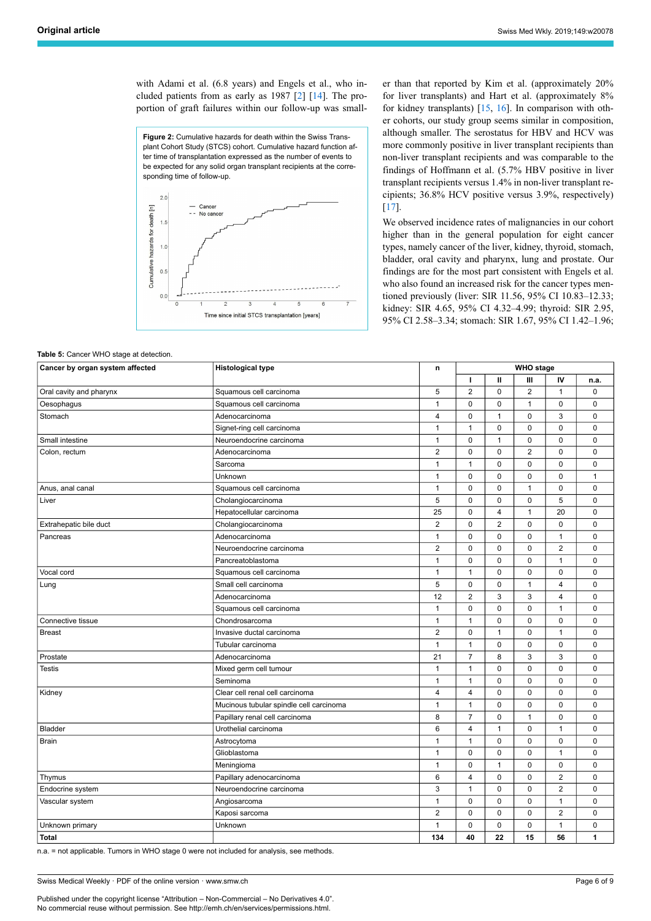with Adami et al. (6.8 years) and Engels et al., who included patients from as early as 1987 [[2](#page-8-1)] [[14\]](#page-8-12). The proportion of graft failures within our follow-up was small-

**Figure 2:** Cumulative hazards for death within the Swiss Transplant Cohort Study (STCS) cohort. Cumulative hazard function after time of transplantation expressed as the number of events to be expected for any solid organ transplant recipients at the corresponding time of follow-up.

<span id="page-5-1"></span>

er than that reported by Kim et al. (approximately 20% for liver transplants) and Hart et al. (approximately 8% for kidney transplants) [[15,](#page-8-13) [16](#page-8-14)]. In comparison with other cohorts, our study group seems similar in composition, although smaller. The serostatus for HBV and HCV was more commonly positive in liver transplant recipients than non-liver transplant recipients and was comparable to the findings of Hoffmann et al. (5.7% HBV positive in liver transplant recipients versus 1.4% in non-liver transplant recipients; 36.8% HCV positive versus 3.9%, respectively) [\[17](#page-8-15)].

We observed incidence rates of malignancies in our cohort higher than in the general population for eight cancer types, namely cancer of the liver, kidney, thyroid, stomach, bladder, oral cavity and pharynx, lung and prostate. Our findings are for the most part consistent with Engels et al. who also found an increased risk for the cancer types mentioned previously (liver: SIR 11.56, 95% CI 10.83–12.33; kidney: SIR 4.65, 95% CI 4.32–4.99; thyroid: SIR 2.95, 95% CI 2.58–3.34; stomach: SIR 1.67, 95% CI 1.42–1.96;

<span id="page-5-0"></span>**Table 5: Cancer WHO stage at detection.** 

| Cancer by organ system affected | <b>Histological type</b>                | n                       | <b>WHO</b> stage |                |                |                         |              |
|---------------------------------|-----------------------------------------|-------------------------|------------------|----------------|----------------|-------------------------|--------------|
|                                 |                                         |                         | I.               | Ш              | Ш              | IV                      | n.a.         |
| Oral cavity and pharynx         | Squamous cell carcinoma                 | 5                       | $\overline{2}$   | $\mathbf 0$    | $\overline{2}$ | $\mathbf{1}$            | $\mathbf 0$  |
| Oesophagus                      | Squamous cell carcinoma                 | $\mathbf{1}$            | 0                | 0              | $\mathbf{1}$   | 0                       | $\pmb{0}$    |
| Stomach                         | Adenocarcinoma                          | $\overline{\mathbf{4}}$ | $\mathbf 0$      | $\mathbf{1}$   | $\mathbf 0$    | 3                       | $\mathbf 0$  |
|                                 | Signet-ring cell carcinoma              | 1                       | $\mathbf{1}$     | 0              | 0              | 0                       | $\pmb{0}$    |
| Small intestine                 | Neuroendocrine carcinoma                | $\mathbf{1}$            | $\pmb{0}$        | $\mathbf{1}$   | $\mathbf 0$    | $\mathbf 0$             | $\mathbf 0$  |
| Colon, rectum                   | Adenocarcinoma                          | $\overline{2}$          | $\pmb{0}$        | $\mathsf 0$    | $\overline{2}$ | 0                       | $\pmb{0}$    |
|                                 | Sarcoma                                 | $\mathbf{1}$            | $\mathbf{1}$     | $\mathbf 0$    | $\mathbf 0$    | $\mathbf 0$             | $\mathbf 0$  |
|                                 | Unknown                                 | $\mathbf{1}$            | $\pmb{0}$        | $\mathbf 0$    | $\mathbf 0$    | $\mathbf 0$             | $\mathbf{1}$ |
| Anus, anal canal                | Squamous cell carcinoma                 | $\mathbf{1}$            | $\mathbf 0$      | 0              | $\mathbf{1}$   | 0                       | $\mathbf 0$  |
| Liver                           | Cholangiocarcinoma                      | 5                       | 0                | 0              | 0              | 5                       | $\pmb{0}$    |
|                                 | Hepatocellular carcinoma                | 25                      | $\mathbf 0$      | 4              | $\mathbf{1}$   | 20                      | $\mathbf 0$  |
| Extrahepatic bile duct          | Cholangiocarcinoma                      | $\overline{2}$          | $\pmb{0}$        | $\overline{2}$ | 0              | 0                       | $\pmb{0}$    |
| Pancreas                        | Adenocarcinoma                          | $\mathbf{1}$            | $\mathbf 0$      | 0              | 0              | 1                       | $\mathbf 0$  |
|                                 | Neuroendocrine carcinoma                | $\overline{2}$          | $\pmb{0}$        | 0              | $\mathbf 0$    | $\overline{2}$          | $\pmb{0}$    |
|                                 | Pancreatoblastoma                       | $\mathbf{1}$            | $\pmb{0}$        | 0              | $\mathbf 0$    | $\mathbf{1}$            | $\mathbf 0$  |
| Vocal cord                      | Squamous cell carcinoma                 | $\mathbf{1}$            | $\mathbf{1}$     | $\mathbf 0$    | $\mathbf 0$    | $\mathbf 0$             | $\pmb{0}$    |
| Lung                            | Small cell carcinoma                    |                         | $\mathbf 0$      | $\mathbf 0$    | $\overline{1}$ | $\overline{\mathbf{4}}$ | $\mathbf 0$  |
|                                 | Adenocarcinoma                          | 12                      | $\overline{2}$   | 3              | 3              | $\overline{4}$          | $\pmb{0}$    |
|                                 | Squamous cell carcinoma                 | $\mathbf{1}$            | $\mathbf 0$      | 0              | $\mathbf 0$    | $\mathbf{1}$            | $\mathbf 0$  |
| Connective tissue               | Chondrosarcoma                          | $\mathbf{1}$            | $\mathbf{1}$     | 0              | 0              | 0                       | $\pmb{0}$    |
| <b>Breast</b>                   | Invasive ductal carcinoma               | $\overline{2}$          | 0                | $\mathbf{1}$   | 0              | 1                       | $\mathbf 0$  |
|                                 | Tubular carcinoma                       | $\mathbf{1}$            | $\mathbf{1}$     | 0              | 0              | 0                       | $\pmb{0}$    |
| Prostate                        | Adenocarcinoma                          | 21                      | $\overline{7}$   | 8              | 3              | 3                       | $\mathbf 0$  |
| <b>Testis</b>                   | Mixed germ cell tumour                  | $\mathbf{1}$            | $\mathbf{1}$     | 0              | 0              | 0                       | $\pmb{0}$    |
|                                 | Seminoma                                | $\mathbf{1}$            | $\mathbf{1}$     | $\mathbf 0$    | 0              | $\mathbf 0$             | $\mathbf 0$  |
| Kidney                          | Clear cell renal cell carcinoma         | 4                       | 4                | 0              | 0              | 0                       | $\pmb{0}$    |
|                                 | Mucinous tubular spindle cell carcinoma | $\mathbf{1}$            | $\mathbf{1}$     | $\mathbf 0$    | 0              | $\mathbf 0$             | $\mathbf 0$  |
|                                 | Papillary renal cell carcinoma          | 8                       | $\overline{7}$   | 0              | 1              | 0                       | $\pmb{0}$    |
| <b>Bladder</b>                  | Urothelial carcinoma                    | 6                       | $\overline{4}$   | $\mathbf{1}$   | $\mathbf 0$    | 1                       | $\mathbf 0$  |
| <b>Brain</b>                    | Astrocytoma                             | $\mathbf{1}$            | $\mathbf{1}$     | 0              | 0              | 0                       | $\pmb{0}$    |
|                                 | Glioblastoma                            | $\mathbf{1}$            | $\mathbf 0$      | $\mathbf 0$    | $\mathbf 0$    | 1                       | $\mathbf 0$  |
|                                 | Meningioma                              | $\mathbf{1}$            | $\mathbf 0$      | $\mathbf{1}$   | $\mathbf 0$    | $\mathbf 0$             | $\pmb{0}$    |
| Thymus                          | Papillary adenocarcinoma                | 6                       | $\overline{4}$   | 0              | $\mathbf 0$    | $\overline{2}$          | $\mathbf 0$  |
| Endocrine system                | Neuroendocrine carcinoma                | 3                       | $\mathbf{1}$     | 0              | $\mathbf 0$    | $\overline{2}$          | $\pmb{0}$    |
| Vascular system                 | Angiosarcoma                            | $\mathbf{1}$            | 0                | 0              | 0              | 1                       | $\mathbf 0$  |
|                                 | Kaposi sarcoma                          | $\overline{2}$          | 0                | 0              | 0              | $\overline{2}$          | $\pmb{0}$    |
| Unknown primary                 | Unknown                                 | $\mathbf{1}$            | $\mathbf 0$      | 0              | $\mathbf 0$    | $\mathbf{1}$            | $\mathbf 0$  |
| <b>Total</b>                    |                                         | 134                     | 40               | 22             | 15             | 56                      | 1            |

n.a. = not applicable. Tumors in WHO stage 0 were not included for analysis, see methods.

Swiss Medical Weekly · PDF of the online version · www.smw.ch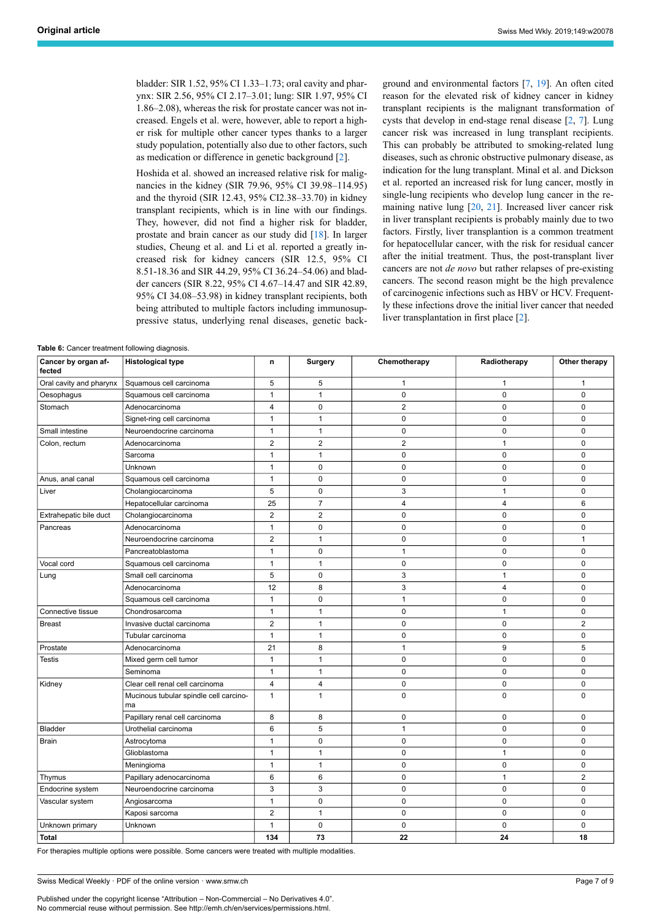bladder: SIR 1.52, 95% CI 1.33–1.73; oral cavity and pharynx: SIR 2.56, 95% CI 2.17–3.01; lung: SIR 1.97, 95% CI 1.86–2.08), whereas the risk for prostate cancer was not increased. Engels et al. were, however, able to report a higher risk for multiple other cancer types thanks to a larger study population, potentially also due to other factors, such as medication or difference in genetic background [\[2\]](#page-8-1).

Hoshida et al. showed an increased relative risk for malignancies in the kidney (SIR 79.96, 95% CI 39.98–114.95) and the thyroid (SIR 12.43, 95% CI2.38–33.70) in kidney transplant recipients, which is in line with our findings. They, however, did not find a higher risk for bladder, prostate and brain cancer as our study did [\[18](#page-8-16)]. In larger studies, Cheung et al. and Li et al. reported a greatly increased risk for kidney cancers (SIR 12.5, 95% CI 8.51-18.36 and SIR 44.29, 95% CI 36.24–54.06) and bladder cancers (SIR 8.22, 95% CI 4.67–14.47 and SIR 42.89, 95% CI 34.08–53.98) in kidney transplant recipients, both being attributed to multiple factors including immunosuppressive status, underlying renal diseases, genetic background and environmental factors [[7](#page-8-5), [19\]](#page-8-17). An often cited reason for the elevated risk of kidney cancer in kidney transplant recipients is the malignant transformation of cysts that develop in end-stage renal disease [[2](#page-8-1), [7\]](#page-8-5). Lung cancer risk was increased in lung transplant recipients. This can probably be attributed to smoking-related lung diseases, such as chronic obstructive pulmonary disease, as indication for the lung transplant. Minal et al. and Dickson et al. reported an increased risk for lung cancer, mostly in single-lung recipients who develop lung cancer in the remaining native lung [[20,](#page-8-18) [21](#page-8-19)]. Increased liver cancer risk in liver transplant recipients is probably mainly due to two factors. Firstly, liver transplantion is a common treatment for hepatocellular cancer, with the risk for residual cancer after the initial treatment. Thus, the post-transplant liver cancers are not *de novo* but rather relapses of pre-existing cancers. The second reason might be the high prevalence of carcinogenic infections such as HBV or HCV. Frequently these infections drove the initial liver cancer that needed liver transplantation in first place [[2](#page-8-1)].

<span id="page-6-0"></span>**Table 6:** Cancer treatment following diagnosis.

| Cancer by organ af-<br>fected | <b>Histological type</b>                     | n                       | <b>Surgery</b> | Chemotherapy            | Radiotherapy | Other therapy  |
|-------------------------------|----------------------------------------------|-------------------------|----------------|-------------------------|--------------|----------------|
| Oral cavity and pharynx       | Squamous cell carcinoma                      | 5                       | 5              | $\mathbf{1}$            | $\mathbf{1}$ | $\mathbf{1}$   |
| Oesophagus                    | Squamous cell carcinoma                      | $\mathbf{1}$            | $\mathbf{1}$   | $\mathbf 0$             | $\mathbf 0$  | $\mathbf 0$    |
| Stomach                       | Adenocarcinoma                               | $\overline{\mathbf{4}}$ | $\pmb{0}$      | $\overline{2}$          | $\mathbf 0$  | 0              |
|                               | Signet-ring cell carcinoma                   | $\mathbf{1}$            | $\mathbf{1}$   | $\mathbf 0$             | 0            | 0              |
| Small intestine               | Neuroendocrine carcinoma                     | $\mathbf{1}$            | $\mathbf{1}$   | $\mathbf 0$             | $\mathbf 0$  | $\Omega$       |
| Colon, rectum                 | Adenocarcinoma                               | $\overline{2}$          | $\overline{2}$ | $\overline{2}$          | $\mathbf{1}$ | $\mathbf 0$    |
|                               | Sarcoma                                      | $\mathbf{1}$            | $\mathbf{1}$   | $\mathbf 0$             | $\mathbf 0$  | $\mathbf 0$    |
|                               | Unknown                                      | $\mathbf{1}$            | $\mathbf 0$    | $\mathbf 0$             | $\mathbf 0$  | 0              |
| Anus, anal canal              | Squamous cell carcinoma                      | $\mathbf{1}$            | $\mathbf 0$    | $\mathbf 0$             | $\mathbf 0$  | 0              |
| Liver                         | Cholangiocarcinoma                           | 5                       | $\mathbf 0$    | 3                       | 1            | 0              |
|                               | Hepatocellular carcinoma                     | 25                      | $\overline{7}$ | $\overline{\mathbf{4}}$ | 4            | 6              |
| Extrahepatic bile duct        | Cholangiocarcinoma                           | $\overline{2}$          | $\overline{2}$ | $\mathbf 0$             | 0            | 0              |
| Pancreas                      | Adenocarcinoma                               | $\mathbf{1}$            | $\mathbf 0$    | $\mathbf 0$             | $\mathbf 0$  | $\mathbf 0$    |
|                               | Neuroendocrine carcinoma                     | $\overline{2}$          | $\mathbf{1}$   | 0                       | $\mathbf 0$  | $\mathbf{1}$   |
|                               | Pancreatoblastoma                            | $\mathbf{1}$            | $\mathbf 0$    | 1                       | 0            | 0              |
| Vocal cord                    | Squamous cell carcinoma                      | $\mathbf{1}$            | $\mathbf{1}$   | $\mathbf 0$             | $\mathbf 0$  | $\mathbf 0$    |
| Lung                          | Small cell carcinoma                         | 5                       | $\mathbf 0$    | 3                       | $\mathbf{1}$ | $\mathbf 0$    |
|                               | Adenocarcinoma                               | 12                      | 8              | 3                       | 4            | $\mathbf 0$    |
|                               | Squamous cell carcinoma                      | $\mathbf{1}$            | $\mathbf 0$    | $\mathbf{1}$            | $\mathbf 0$  | $\mathbf 0$    |
| Connective tissue             | Chondrosarcoma                               | $\mathbf{1}$            | $\mathbf{1}$   | 0                       | $\mathbf{1}$ | 0              |
| <b>Breast</b>                 | Invasive ductal carcinoma                    | $\mathbf 2$             | $\mathbf{1}$   | $\pmb{0}$               | $\mathbf 0$  | $\overline{2}$ |
|                               | Tubular carcinoma                            | $\mathbf{1}$            | $\mathbf{1}$   | $\mathbf 0$             | $\mathbf 0$  | 0              |
| Prostate                      | Adenocarcinoma                               | 21                      | 8              | $\mathbf{1}$            | 9            | 5              |
| <b>Testis</b>                 | Mixed germ cell tumor                        | $\mathbf{1}$            | $\mathbf{1}$   | $\mathbf 0$             | $\mathbf 0$  | 0              |
|                               | Seminoma                                     | $\mathbf{1}$            | $\mathbf{1}$   | $\mathbf 0$             | 0            | 0              |
| Kidney                        | Clear cell renal cell carcinoma              | $\overline{4}$          | $\overline{4}$ | $\pmb{0}$               | $\mathbf 0$  | $\mathbf 0$    |
|                               | Mucinous tubular spindle cell carcino-<br>ma | $\mathbf{1}$            | $\mathbf{1}$   | 0                       | $\mathbf 0$  | 0              |
|                               | Papillary renal cell carcinoma               | 8                       | 8              | $\mathbf 0$             | $\mathbf 0$  | $\mathbf 0$    |
| Bladder                       | Urothelial carcinoma                         | 6                       | 5              | $\mathbf{1}$            | $\mathbf 0$  | 0              |
| <b>Brain</b>                  | Astrocytoma                                  | $\mathbf{1}$            | $\mathbf 0$    | $\mathbf 0$             | $\mathbf 0$  | 0              |
|                               | Glioblastoma                                 | $\mathbf{1}$            | $\mathbf{1}$   | $\pmb{0}$               | $\mathbf{1}$ | $\mathbf 0$    |
|                               | Meningioma                                   | $\mathbf{1}$            | $\mathbf{1}$   | $\mathbf 0$             | 0            | 0              |
| Thymus                        | Papillary adenocarcinoma                     | 6                       | 6              | $\mathbf 0$             | $\mathbf{1}$ | $\overline{2}$ |
| Endocrine system              | Neuroendocrine carcinoma                     | 3                       | 3              | $\mathbf 0$             | $\mathbf 0$  | 0              |
| Vascular system               | Angiosarcoma                                 | $\mathbf{1}$            | $\mathbf 0$    | $\mathbf 0$             | $\mathbf 0$  | $\mathbf 0$    |
|                               | Kaposi sarcoma                               | $\overline{2}$          | $\mathbf{1}$   | $\mathbf 0$             | $\mathbf 0$  | 0              |
| Unknown primary               | Unknown                                      | $\mathbf{1}$            | $\mathbf 0$    | 0                       | 0            | $\mathbf 0$    |
| Total                         |                                              | 134                     | 73             | 22                      | 24           | 18             |

For therapies multiple options were possible. Some cancers were treated with multiple modalities.

Swiss Medical Weekly · PDF of the online version · www.smw.ch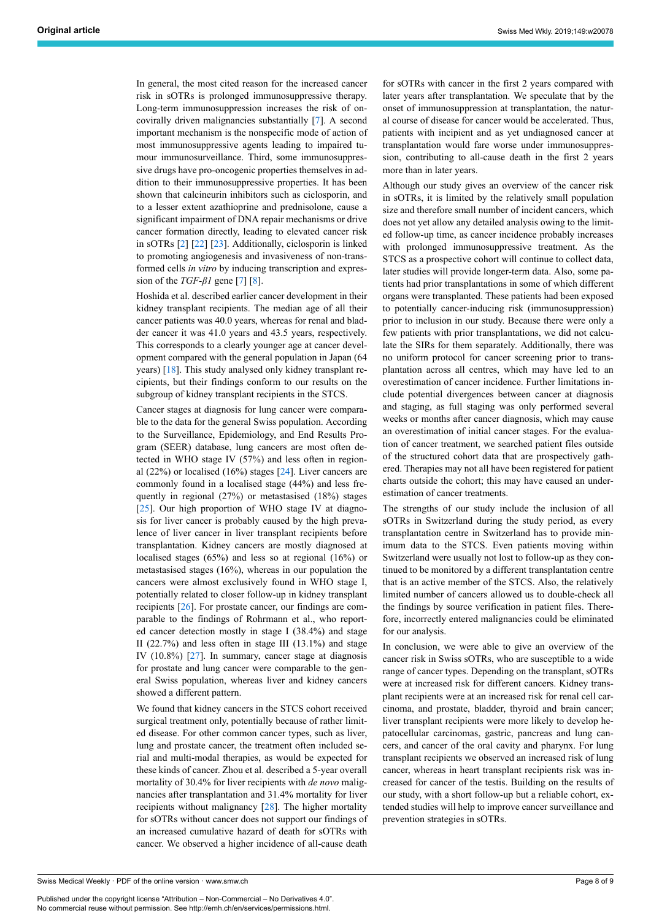In general, the most cited reason for the increased cancer risk in sOTRs is prolonged immunosuppressive therapy. Long-term immunosuppression increases the risk of oncovirally driven malignancies substantially [\[7\]](#page-8-5). A second important mechanism is the nonspecific mode of action of most immunosuppressive agents leading to impaired tumour immunosurveillance. Third, some immunosuppressive drugs have pro-oncogenic properties themselves in addition to their immunosuppressive properties. It has been shown that calcineurin inhibitors such as ciclosporin, and to a lesser extent azathioprine and prednisolone, cause a significant impairment of DNA repair mechanisms or drive cancer formation directly, leading to elevated cancer risk in sOTRs [[2](#page-8-1)] [\[22](#page-8-20)] [[23\]](#page-8-21). Additionally, ciclosporin is linked to promoting angiogenesis and invasiveness of non-transformed cells *in vitro* by inducing transcription and expression of the *TGF-β1* gene [\[7\]](#page-8-5) [\[8\]](#page-8-6).

Hoshida et al. described earlier cancer development in their kidney transplant recipients. The median age of all their cancer patients was 40.0 years, whereas for renal and bladder cancer it was 41.0 years and 43.5 years, respectively. This corresponds to a clearly younger age at cancer development compared with the general population in Japan (64 years) [\[18](#page-8-16)]. This study analysed only kidney transplant recipients, but their findings conform to our results on the subgroup of kidney transplant recipients in the STCS.

Cancer stages at diagnosis for lung cancer were comparable to the data for the general Swiss population. According to the Surveillance, Epidemiology, and End Results Program (SEER) database, lung cancers are most often detected in WHO stage IV (57%) and less often in regional (22%) or localised (16%) stages [\[24](#page-8-22)]. Liver cancers are commonly found in a localised stage (44%) and less frequently in regional (27%) or metastasised (18%) stages [[25\]](#page-8-23). Our high proportion of WHO stage IV at diagnosis for liver cancer is probably caused by the high prevalence of liver cancer in liver transplant recipients before transplantation. Kidney cancers are mostly diagnosed at localised stages (65%) and less so at regional (16%) or metastasised stages (16%), whereas in our population the cancers were almost exclusively found in WHO stage I, potentially related to closer follow-up in kidney transplant recipients [\[26](#page-8-24)]. For prostate cancer, our findings are comparable to the findings of Rohrmann et al., who reported cancer detection mostly in stage I (38.4%) and stage II  $(22.7%)$  and less often in stage III  $(13.1%)$  and stage IV (10.8%) [[27\]](#page-8-25). In summary, cancer stage at diagnosis for prostate and lung cancer were comparable to the general Swiss population, whereas liver and kidney cancers showed a different pattern.

We found that kidney cancers in the STCS cohort received surgical treatment only, potentially because of rather limited disease. For other common cancer types, such as liver, lung and prostate cancer, the treatment often included serial and multi-modal therapies, as would be expected for these kinds of cancer. Zhou et al. described a 5-year overall mortality of 30.4% for liver recipients with *de novo* malignancies after transplantation and 31.4% mortality for liver recipients without malignancy [[28\]](#page-8-26). The higher mortality for sOTRs without cancer does not support our findings of an increased cumulative hazard of death for sOTRs with cancer. We observed a higher incidence of all-cause death for sOTRs with cancer in the first 2 years compared with later years after transplantation. We speculate that by the onset of immunosuppression at transplantation, the natural course of disease for cancer would be accelerated. Thus, patients with incipient and as yet undiagnosed cancer at transplantation would fare worse under immunosuppression, contributing to all-cause death in the first 2 years more than in later years.

Although our study gives an overview of the cancer risk in sOTRs, it is limited by the relatively small population size and therefore small number of incident cancers, which does not yet allow any detailed analysis owing to the limited follow-up time, as cancer incidence probably increases with prolonged immunosuppressive treatment. As the STCS as a prospective cohort will continue to collect data, later studies will provide longer-term data. Also, some patients had prior transplantations in some of which different organs were transplanted. These patients had been exposed to potentially cancer-inducing risk (immunosuppression) prior to inclusion in our study. Because there were only a few patients with prior transplantations, we did not calculate the SIRs for them separately. Additionally, there was no uniform protocol for cancer screening prior to transplantation across all centres, which may have led to an overestimation of cancer incidence. Further limitations include potential divergences between cancer at diagnosis and staging, as full staging was only performed several weeks or months after cancer diagnosis, which may cause an overestimation of initial cancer stages. For the evaluation of cancer treatment, we searched patient files outside of the structured cohort data that are prospectively gathered. Therapies may not all have been registered for patient charts outside the cohort; this may have caused an underestimation of cancer treatments.

The strengths of our study include the inclusion of all sOTRs in Switzerland during the study period, as every transplantation centre in Switzerland has to provide minimum data to the STCS. Even patients moving within Switzerland were usually not lost to follow-up as they continued to be monitored by a different transplantation centre that is an active member of the STCS. Also, the relatively limited number of cancers allowed us to double-check all the findings by source verification in patient files. Therefore, incorrectly entered malignancies could be eliminated for our analysis.

In conclusion, we were able to give an overview of the cancer risk in Swiss sOTRs, who are susceptible to a wide range of cancer types. Depending on the transplant, sOTRs were at increased risk for different cancers. Kidney transplant recipients were at an increased risk for renal cell carcinoma, and prostate, bladder, thyroid and brain cancer; liver transplant recipients were more likely to develop hepatocellular carcinomas, gastric, pancreas and lung cancers, and cancer of the oral cavity and pharynx. For lung transplant recipients we observed an increased risk of lung cancer, whereas in heart transplant recipients risk was increased for cancer of the testis. Building on the results of our study, with a short follow-up but a reliable cohort, extended studies will help to improve cancer surveillance and prevention strategies in sOTRs.